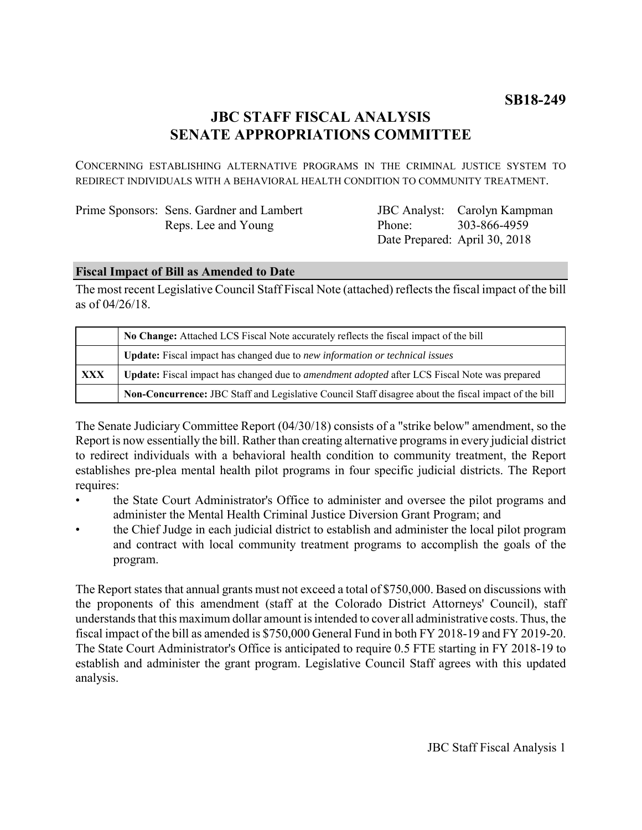# **JBC STAFF FISCAL ANALYSIS SENATE APPROPRIATIONS COMMITTEE**

CONCERNING ESTABLISHING ALTERNATIVE PROGRAMS IN THE CRIMINAL JUSTICE SYSTEM TO REDIRECT INDIVIDUALS WITH A BEHAVIORAL HEALTH CONDITION TO COMMUNITY TREATMENT.

| Prime Sponsors: Sens. Gardner and Lambert |
|-------------------------------------------|
| Reps. Lee and Young                       |

JBC Analyst: Carolyn Kampman Phone: Date Prepared: April 30, 2018 303-866-4959

## **Fiscal Impact of Bill as Amended to Date**

The most recent Legislative Council Staff Fiscal Note (attached) reflects the fiscal impact of the bill as of 04/26/18.

|     | No Change: Attached LCS Fiscal Note accurately reflects the fiscal impact of the bill                       |  |
|-----|-------------------------------------------------------------------------------------------------------------|--|
|     | <b>Update:</b> Fiscal impact has changed due to new information or technical issues                         |  |
| XXX | <b>Update:</b> Fiscal impact has changed due to <i>amendment adopted</i> after LCS Fiscal Note was prepared |  |
|     | Non-Concurrence: JBC Staff and Legislative Council Staff disagree about the fiscal impact of the bill       |  |

The Senate Judiciary Committee Report (04/30/18) consists of a "strike below" amendment, so the Report is now essentially the bill. Rather than creating alternative programs in every judicial district to redirect individuals with a behavioral health condition to community treatment, the Report establishes pre-plea mental health pilot programs in four specific judicial districts. The Report requires:

- the State Court Administrator's Office to administer and oversee the pilot programs and administer the Mental Health Criminal Justice Diversion Grant Program; and
- the Chief Judge in each judicial district to establish and administer the local pilot program and contract with local community treatment programs to accomplish the goals of the program.

The Report states that annual grants must not exceed a total of \$750,000. Based on discussions with the proponents of this amendment (staff at the Colorado District Attorneys' Council), staff understands that this maximum dollar amount is intended to cover all administrative costs. Thus, the fiscal impact of the bill as amended is \$750,000 General Fund in both FY 2018-19 and FY 2019-20. The State Court Administrator's Office is anticipated to require 0.5 FTE starting in FY 2018-19 to establish and administer the grant program. Legislative Council Staff agrees with this updated analysis.